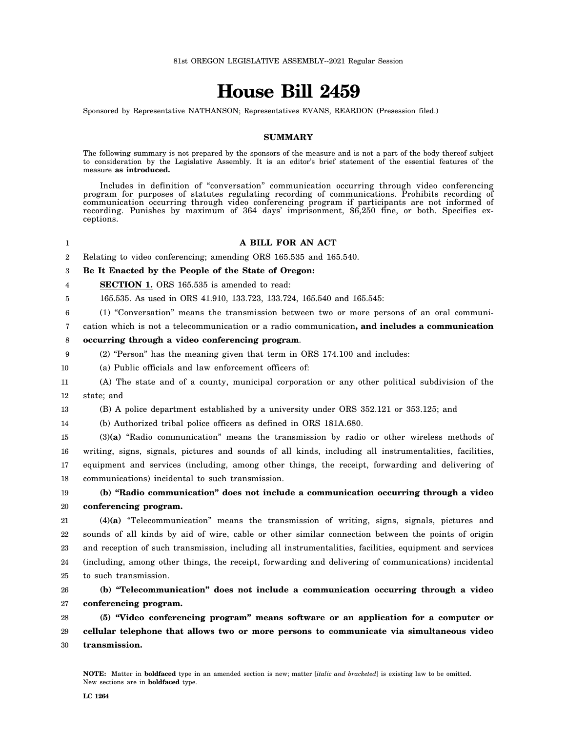# **House Bill 2459**

Sponsored by Representative NATHANSON; Representatives EVANS, REARDON (Presession filed.)

# **SUMMARY**

The following summary is not prepared by the sponsors of the measure and is not a part of the body thereof subject to consideration by the Legislative Assembly. It is an editor's brief statement of the essential features of the measure **as introduced.**

Includes in definition of "conversation" communication occurring through video conferencing program for purposes of statutes regulating recording of communications. Prohibits recording of communication occurring through video conferencing program if participants are not informed of recording. Punishes by maximum of 364 days' imprisonment, \$6,250 fine, or both. Specifies exceptions.

### 1

# **A BILL FOR AN ACT**

2 Relating to video conferencing; amending ORS 165.535 and 165.540.

3 **Be It Enacted by the People of the State of Oregon:**

4 **SECTION 1.** ORS 165.535 is amended to read:

5 165.535. As used in ORS 41.910, 133.723, 133.724, 165.540 and 165.545:

6 (1) "Conversation" means the transmission between two or more persons of an oral communi-

7 cation which is not a telecommunication or a radio communication**, and includes a communication**

#### 8 **occurring through a video conferencing program**.

9 (2) "Person" has the meaning given that term in ORS 174.100 and includes:

(b) Authorized tribal police officers as defined in ORS 181A.680.

10 (a) Public officials and law enforcement officers of:

11 12 (A) The state and of a county, municipal corporation or any other political subdivision of the state; and

13 (B) A police department established by a university under ORS 352.121 or 353.125; and

14

15 16 17 18 (3)**(a)** "Radio communication" means the transmission by radio or other wireless methods of writing, signs, signals, pictures and sounds of all kinds, including all instrumentalities, facilities, equipment and services (including, among other things, the receipt, forwarding and delivering of communications) incidental to such transmission.

19 20 **(b) "Radio communication" does not include a communication occurring through a video conferencing program.**

21 22 23 24 25 (4)**(a)** "Telecommunication" means the transmission of writing, signs, signals, pictures and sounds of all kinds by aid of wire, cable or other similar connection between the points of origin and reception of such transmission, including all instrumentalities, facilities, equipment and services (including, among other things, the receipt, forwarding and delivering of communications) incidental to such transmission.

26 27 **(b) "Telecommunication" does not include a communication occurring through a video conferencing program.**

28 29 30 **(5) "Video conferencing program" means software or an application for a computer or cellular telephone that allows two or more persons to communicate via simultaneous video transmission.**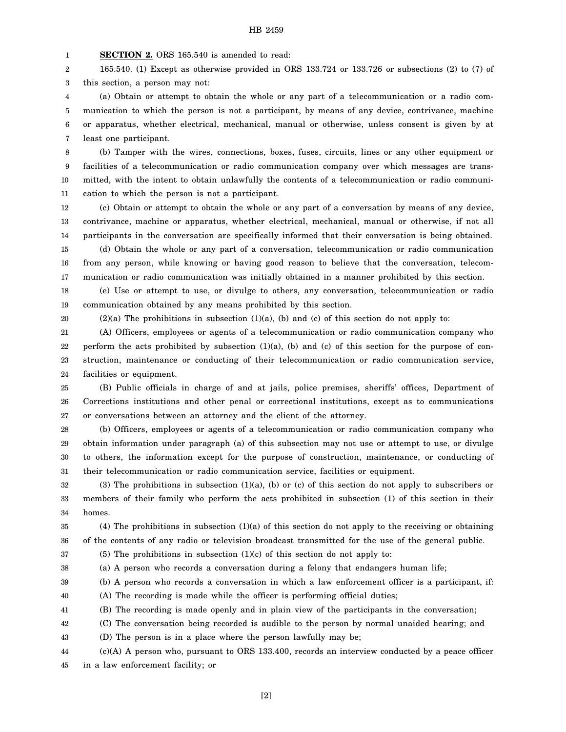# HB 2459

1 **SECTION 2.** ORS 165.540 is amended to read:

20

2 3 165.540. (1) Except as otherwise provided in ORS 133.724 or 133.726 or subsections (2) to (7) of this section, a person may not:

4 5 6 7 (a) Obtain or attempt to obtain the whole or any part of a telecommunication or a radio communication to which the person is not a participant, by means of any device, contrivance, machine or apparatus, whether electrical, mechanical, manual or otherwise, unless consent is given by at least one participant.

8 9 10 11 (b) Tamper with the wires, connections, boxes, fuses, circuits, lines or any other equipment or facilities of a telecommunication or radio communication company over which messages are transmitted, with the intent to obtain unlawfully the contents of a telecommunication or radio communication to which the person is not a participant.

12 13 14 (c) Obtain or attempt to obtain the whole or any part of a conversation by means of any device, contrivance, machine or apparatus, whether electrical, mechanical, manual or otherwise, if not all participants in the conversation are specifically informed that their conversation is being obtained.

15 16 17 (d) Obtain the whole or any part of a conversation, telecommunication or radio communication from any person, while knowing or having good reason to believe that the conversation, telecommunication or radio communication was initially obtained in a manner prohibited by this section.

18 19 (e) Use or attempt to use, or divulge to others, any conversation, telecommunication or radio communication obtained by any means prohibited by this section.

 $(2)(a)$  The prohibitions in subsection  $(1)(a)$ ,  $(b)$  and  $(c)$  of this section do not apply to:

21 22 23 24 (A) Officers, employees or agents of a telecommunication or radio communication company who perform the acts prohibited by subsection  $(1)(a)$ ,  $(b)$  and  $(c)$  of this section for the purpose of construction, maintenance or conducting of their telecommunication or radio communication service, facilities or equipment.

25 26 27 (B) Public officials in charge of and at jails, police premises, sheriffs' offices, Department of Corrections institutions and other penal or correctional institutions, except as to communications or conversations between an attorney and the client of the attorney.

28 29 30 31 (b) Officers, employees or agents of a telecommunication or radio communication company who obtain information under paragraph (a) of this subsection may not use or attempt to use, or divulge to others, the information except for the purpose of construction, maintenance, or conducting of their telecommunication or radio communication service, facilities or equipment.

32 33 34 (3) The prohibitions in subsection (1)(a), (b) or (c) of this section do not apply to subscribers or members of their family who perform the acts prohibited in subsection (1) of this section in their homes.

35 36 (4) The prohibitions in subsection (1)(a) of this section do not apply to the receiving or obtaining of the contents of any radio or television broadcast transmitted for the use of the general public.

37 (5) The prohibitions in subsection  $(1)(c)$  of this section do not apply to:

38 (a) A person who records a conversation during a felony that endangers human life;

39 (b) A person who records a conversation in which a law enforcement officer is a participant, if:

40 (A) The recording is made while the officer is performing official duties;

41 (B) The recording is made openly and in plain view of the participants in the conversation;

42 (C) The conversation being recorded is audible to the person by normal unaided hearing; and

43 (D) The person is in a place where the person lawfully may be;

44 45 (c)(A) A person who, pursuant to ORS 133.400, records an interview conducted by a peace officer in a law enforcement facility; or